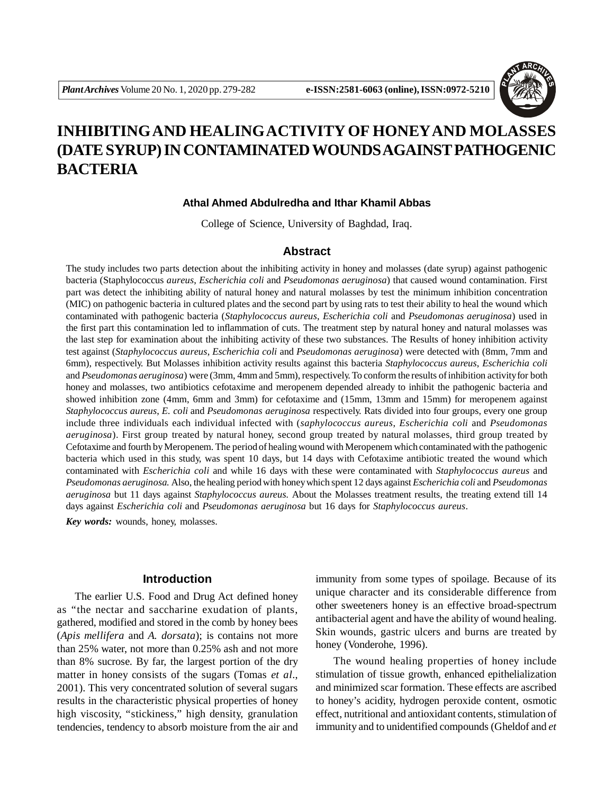

# **INHIBITINGAND HEALINGACTIVITY OF HONEYAND MOLASSES (DATE SYRUP) IN CONTAMINATED WOUNDS AGAINST PATHOGENIC BACTERIA**

## **Athal Ahmed Abdulredha and Ithar Khamil Abbas**

College of Science, University of Baghdad, Iraq.

## **Abstract**

The study includes two parts detection about the inhibiting activity in honey and molasses (date syrup) against pathogenic bacteria (Staphylococcus *aureus*, *Escherichia coli* and *Pseudomonas aeruginosa*) that caused wound contamination. First part was detect the inhibiting ability of natural honey and natural molasses by test the minimum inhibition concentration (MIC) on pathogenic bacteria in cultured plates and the second part by using rats to test their ability to heal the wound which contaminated with pathogenic bacteria (*Staphylococcus aureus*, *Escherichia coli* and *Pseudomonas aeruginosa*) used in the first part this contamination led to inflammation of cuts. The treatment step by natural honey and natural molasses was the last step for examination about the inhibiting activity of these two substances. The Results of honey inhibition activity test against (*Staphylococcus aureus*, *Escherichia coli* and *Pseudomonas aeruginosa*) were detected with (8mm, 7mm and 6mm), respectively. But Molasses inhibition activity results against this bacteria *Staphylococcus aureus*, *Escherichia coli* and *Pseudomonas aeruginosa*) were (3mm, 4mm and 5mm), respectively. To conform the results of inhibition activity for both honey and molasses, two antibiotics cefotaxime and meropenem depended already to inhibit the pathogenic bacteria and showed inhibition zone (4mm, 6mm and 3mm) for cefotaxime and (15mm, 13mm and 15mm) for meropenem against *Staphylococcus aureus*, *E. coli* and *Pseudomonas aeruginosa* respectively. Rats divided into four groups, every one group include three individuals each individual infected with (*saphylococcus aureus*, *Escherichia coli* and *Pseudomonas aeruginosa*). First group treated by natural honey, second group treated by natural molasses, third group treated by Cefotaxime and fourth by Meropenem. The period of healing wound with Meropenem which contaminated with the pathogenic bacteria which used in this study, was spent 10 days, but 14 days with Cefotaxime antibiotic treated the wound which contaminated with *Escherichia coli* and while 16 days with these were contaminated with *Staphylococcus aureus* and *Pseudomonas aeruginosa.* Also, the healing period with honey which spent 12 days against *Escherichia coli* and *Pseudomonas aeruginosa* but 11 days against *Staphylococcus aureus.* About the Molasses treatment results, the treating extend till 14 days against *Escherichia coli* and *Pseudomonas aeruginosa* but 16 days for *Staphylococcus aureus*.

*Key words:* wounds, honey, molasses.

# **Introduction**

The earlier U.S. Food and Drug Act defined honey as "the nectar and saccharine exudation of plants, gathered, modified and stored in the comb by honey bees (*Apis mellifera* and *A. dorsata*); is contains not more than 25% water, not more than 0.25% ash and not more than 8% sucrose. By far, the largest portion of the dry matter in honey consists of the sugars (Tomas *et al*., 2001). This very concentrated solution of several sugars results in the characteristic physical properties of honey high viscosity, "stickiness," high density, granulation tendencies, tendency to absorb moisture from the air and immunity from some types of spoilage. Because of its unique character and its considerable difference from other sweeteners honey is an effective broad-spectrum antibacterial agent and have the ability of wound healing. Skin wounds, gastric ulcers and burns are treated by honey (Vonderohe, 1996).

The wound healing properties of honey include stimulation of tissue growth, enhanced epithelialization and minimized scar formation. These effects are ascribed to honey's acidity, hydrogen peroxide content, osmotic effect, nutritional and antioxidant contents, stimulation of immunity and to unidentified compounds (Gheldof and *et*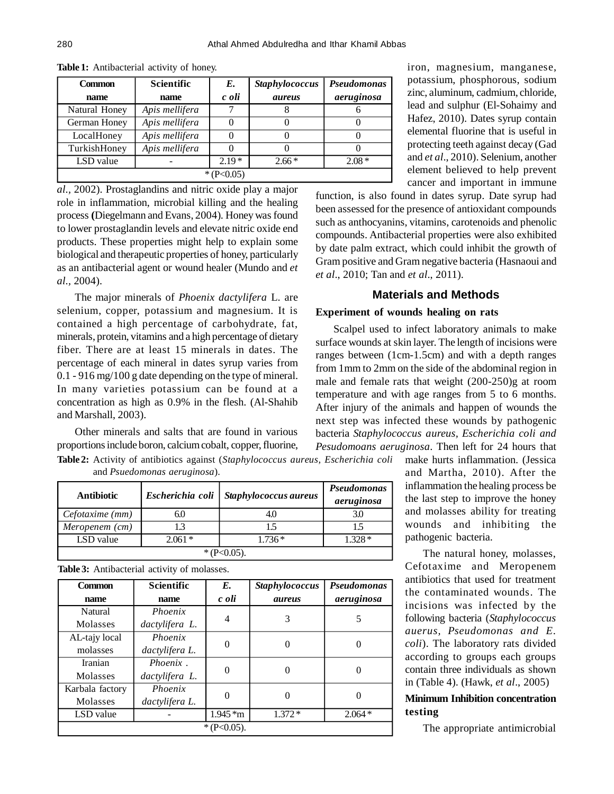| <b>Common</b> | <b>Scientific</b> | E.      | <b>Staphylococcus</b> | Pseudomonas |
|---------------|-------------------|---------|-----------------------|-------------|
| name          | name              | c oli   | <i>aureus</i>         | aeruginosa  |
| Natural Honey | Apis mellifera    |         |                       |             |
| German Honey  | Apis mellifera    |         |                       |             |
| LocalHoney    | Apis mellifera    |         |                       |             |
| TurkishHoney  | Apis mellifera    |         |                       |             |
| LSD value     |                   | $2.19*$ | $2.66*$               | $2.08*$     |
| * $(P<0.05)$  |                   |         |                       |             |

**Table 1:** Antibacterial activity of honey.

*al.,* 2002). Prostaglandins and nitric oxide play a major role in inflammation, microbial killing and the healing process **(**Diegelmann and Evans, 2004). Honey was found to lower prostaglandin levels and elevate nitric oxide end products. These properties might help to explain some biological and therapeutic properties of honey, particularly as an antibacterial agent or wound healer (Mundo and *et al.,* 2004).

The major minerals of *Phoenix dactylifera* L*.* are selenium, copper, potassium and magnesium. It is contained a high percentage of carbohydrate, fat, minerals, protein, vitamins and a high percentage of dietary fiber. There are at least 15 minerals in dates. The percentage of each mineral in dates syrup varies from 0.1 - 916 mg/100 g date depending on the type of mineral. In many varieties potassium can be found at a concentration as high as 0.9% in the flesh. (Al-Shahib and Marshall, 2003).

Other minerals and salts that are found in various proportions include boron, calcium cobalt, copper, fluorine,

**Table 2:** Activity of antibiotics against (*Staphylococcus aureus, Escherichia coli* and *Psuedomonas aeruginosa*).

| <b>Antibiotic</b> | Escherichia coli | Staphylococcus aureus | Pseudomonas<br>aeruginosa |  |
|-------------------|------------------|-----------------------|---------------------------|--|
| Cefotaxime (mm)   | 6.0              | 4.0                   |                           |  |
| Meropenem (cm)    | 1.3              | 1.5                   |                           |  |
| LSD value         | $2.061*$         | $1.736*$              | $.328*$                   |  |
| * $(P<0.05)$ .    |                  |                       |                           |  |

| <b>Table 3:</b> Antibacterial activity of molasses. |  |  |
|-----------------------------------------------------|--|--|
|                                                     |  |  |

| Common          | <b>Scientific</b> | E.        | <b>Staphylococcus</b> | <b>Pseudomonas</b> |  |
|-----------------|-------------------|-----------|-----------------------|--------------------|--|
| name            | name              | c oli     | aureus                | aeruginosa         |  |
| Natural         | Phoenix           | 4         | 3                     |                    |  |
| Molasses        | dactylifera L.    |           |                       |                    |  |
| AL-tajy local   | Phoenix           |           |                       |                    |  |
| molasses        | dactylifera L.    |           | $\theta$              |                    |  |
| Iranian         | Phoenix.          |           | $\Omega$              |                    |  |
| Molasses        | dactylifera L.    |           |                       |                    |  |
| Karbala factory | Phoenix           |           | 0                     | $\Omega$           |  |
| Molasses        | dactylifera L.    |           |                       |                    |  |
| LSD value       |                   | $1.945*m$ | $1.372*$              | $2.064*$           |  |
| $*(P<0.05).$    |                   |           |                       |                    |  |

iron, magnesium, manganese, potassium, phosphorous, sodium zinc, aluminum, cadmium, chloride, lead and sulphur (El-Sohaimy and Hafez, 2010). Dates syrup contain elemental fluorine that is useful in protecting teeth against decay (Gad and *et al*., 2010). Selenium, another element believed to help prevent cancer and important in immune

function, is also found in dates syrup. Date syrup had been assessed for the presence of antioxidant compounds such as anthocyanins, vitamins, carotenoids and phenolic compounds. Antibacterial properties were also exhibited by date palm extract, which could inhibit the growth of Gram positive and Gram negative bacteria (Hasnaoui and *et al*., 2010; Tan and *et al*., 2011).

## **Materials and Methods**

#### **Experiment of wounds healing on rats**

Scalpel used to infect laboratory animals to make surface wounds at skin layer. The length of incisions were ranges between (1cm-1.5cm) and with a depth ranges from 1mm to 2mm on the side of the abdominal region in male and female rats that weight (200-250)g at room temperature and with age ranges from 5 to 6 months. After injury of the animals and happen of wounds the next step was infected these wounds by pathogenic bacteria *Staphylococcus aureus, Escherichia coli and Pesudomoans aeruginosa*. Then left for 24 hours that

make hurts inflammation. (Jessica and Martha, 2010). After the inflammation the healing process be the last step to improve the honey and molasses ability for treating wounds and inhibiting the pathogenic bacteria.

The natural honey, molasses, Cefotaxime and Meropenem antibiotics that used for treatment the contaminated wounds. The incisions was infected by the following bacteria (*Staphylococcus auerus, Pseudomonas and E. coli*). The laboratory rats divided according to groups each groups contain three individuals as shown in (Table 4). (Hawk, *et al*., 2005)

# **Minimum Inhibition concentration testing**

The appropriate antimicrobial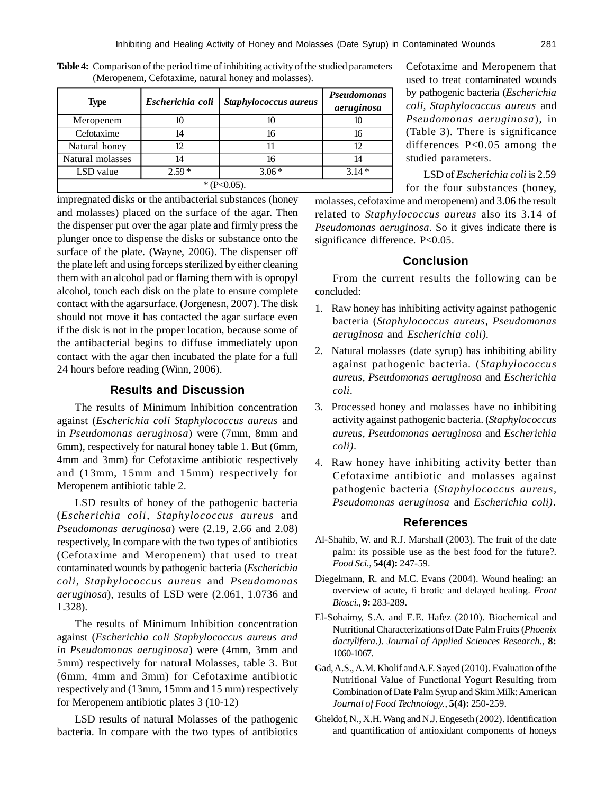| <b>Type</b>      | Escherichia coli | Staphylococcus aureus | Pseudomonas<br>aeruginosa |  |
|------------------|------------------|-----------------------|---------------------------|--|
| Meropenem        | 10               | 10                    | 10                        |  |
| Cefotaxime       | 14               | 16                    | 16                        |  |
| Natural honey    | 12               | 11                    | 12                        |  |
| Natural molasses | 14               | 16                    | 14                        |  |
| LSD value        | $2.59*$          | $3.06*$               | $3.14*$                   |  |
| * $(P<0.05)$ .   |                  |                       |                           |  |

**Table 4:** Comparison of the period time of inhibiting activity of the studied parameters (Meropenem, Cefotaxime, natural honey and molasses).

impregnated disks or the antibacterial substances (honey and molasses) placed on the surface of the agar. Then the dispenser put over the agar plate and firmly press the plunger once to dispense the disks or substance onto the surface of the plate. (Wayne, 2006). The dispenser off the plate left and using forceps sterilized by either cleaning them with an alcohol pad or flaming them with is opropyl alcohol, touch each disk on the plate to ensure complete contact with the agarsurface. (Jorgenesn, 2007). The disk should not move it has contacted the agar surface even if the disk is not in the proper location, because some of the antibacterial begins to diffuse immediately upon contact with the agar then incubated the plate for a full 24 hours before reading (Winn, 2006).

## **Results and Discussion**

The results of Minimum Inhibition concentration against (*Escherichia coli Staphylococcus aureus* and in *Pseudomonas aeruginosa*) were (7mm, 8mm and 6mm), respectively for natural honey table 1. But (6mm, 4mm and 3mm) for Cefotaxime antibiotic respectively and (13mm, 15mm and 15mm) respectively for Meropenem antibiotic table 2.

LSD results of honey of the pathogenic bacteria (*Escherichia coli*, *Staphylococcus aureus* and *Pseudomonas aeruginosa*) were (2.19, 2.66 and 2.08) respectively, In compare with the two types of antibiotics (Cefotaxime and Meropenem) that used to treat contaminated wounds by pathogenic bacteria (*Escherichia coli*, *Staphylococcus aureus* and *Pseudomonas aeruginosa*), results of LSD were (2.061, 1.0736 and 1.328).

The results of Minimum Inhibition concentration against (*Escherichia coli Staphylococcus aureus and in Pseudomonas aeruginosa*) were (4mm, 3mm and 5mm) respectively for natural Molasses, table 3. But (6mm, 4mm and 3mm) for Cefotaxime antibiotic respectively and (13mm, 15mm and 15 mm) respectively for Meropenem antibiotic plates 3 (10-12)

LSD results of natural Molasses of the pathogenic bacteria. In compare with the two types of antibiotics

Cefotaxime and Meropenem that used to treat contaminated wounds by pathogenic bacteria (*Escherichia coli, Staphylococcus aureus* and *Pseudomonas aeruginosa*), in (Table 3). There is significance differences P<0.05 among the studied parameters.

LSD of *Escherichia coli* is 2.59

molasses, cefotaxime and meropenem) and 3.06 the result related to *Staphylococcus aureus* also its 3.14 of *Pseudomonas aeruginosa*. So it gives indicate there is significance difference. P<0.05. for the four substances (honey,

## **Conclusion**

From the current results the following can be concluded:

- 1. Raw honey has inhibiting activity against pathogenic bacteria (*Staphylococcus aureus, Pseudomonas aeruginosa* and *Escherichia coli).*
- 2. Natural molasses (date syrup) has inhibiting ability against pathogenic bacteria. (*Staphylococcus aureus, Pseudomonas aeruginosa* and *Escherichia coli.*
- 3. Processed honey and molasses have no inhibiting activity against pathogenic bacteria. (*Staphylococcus aureus, Pseudomonas aeruginosa* and *Escherichia coli).*
- 4. Raw honey have inhibiting activity better than Cefotaxime antibiotic and molasses against pathogenic bacteria (*Staphylococcus aureus, Pseudomonas aeruginosa* and *Escherichia coli)*.

#### **References**

- Al-Shahib, W. and R.J. Marshall (2003). The fruit of the date palm: its possible use as the best food for the future?. *Food Sci.,* **54(4):** 247-59.
- Diegelmann, R. and M.C. Evans (2004). Wound healing: an overview of acute, fi brotic and delayed healing. *Front Biosci.,* **9:** 283-289.
- El-Sohaimy, S.A. and E.E. Hafez (2010). Biochemical and Nutritional Characterizations of Date Palm Fruits (*Phoenix dactylifera.)*. *Journal of Applied Sciences Research.,* **8:** 1060-1067.
- Gad, A.S., A.M. Kholif and A.F. Sayed (2010). Evaluation of the Nutritional Value of Functional Yogurt Resulting from Combination of Date Palm Syrup and Skim Milk: American *Journal of Food Technology.,* **5(4):** 250-259.
- Gheldof, N., X.H. Wang and N.J. Engeseth (2002). Identification and quantification of antioxidant components of honeys